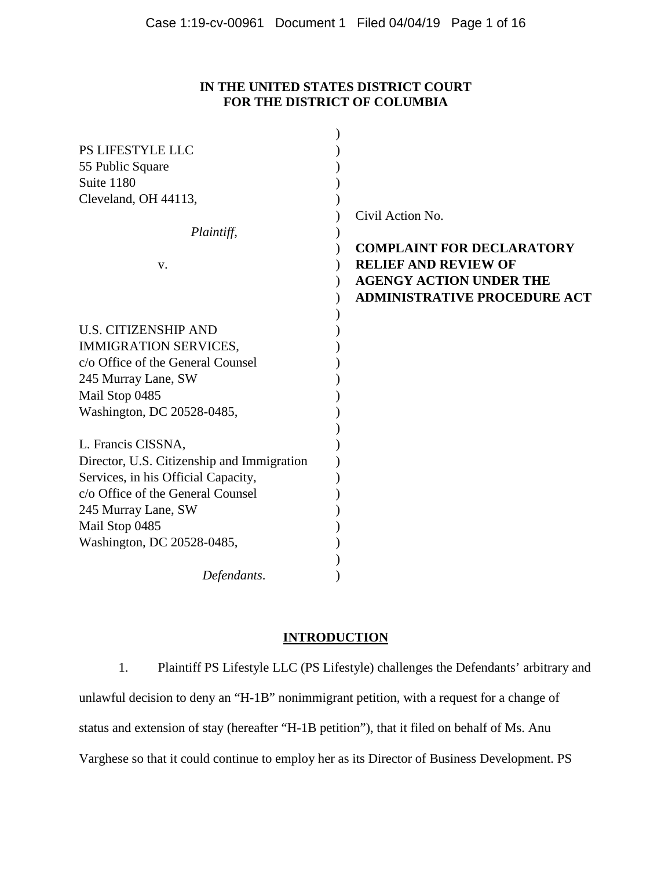# **IN THE UNITED STATES DISTRICT COURT FOR THE DISTRICT OF COLUMBIA**

| PS LIFESTYLE LLC                           |                                     |
|--------------------------------------------|-------------------------------------|
| 55 Public Square                           |                                     |
| Suite 1180                                 |                                     |
| Cleveland, OH 44113,                       |                                     |
|                                            | Civil Action No.                    |
| Plaintiff,                                 |                                     |
|                                            | <b>COMPLAINT FOR DECLARATORY</b>    |
| V.                                         | <b>RELIEF AND REVIEW OF</b>         |
|                                            | <b>AGENGY ACTION UNDER THE</b>      |
|                                            | <b>ADMINISTRATIVE PROCEDURE ACT</b> |
|                                            |                                     |
| <b>U.S. CITIZENSHIP AND</b>                |                                     |
| <b>IMMIGRATION SERVICES,</b>               |                                     |
| c/o Office of the General Counsel          |                                     |
| 245 Murray Lane, SW                        |                                     |
| Mail Stop 0485                             |                                     |
| Washington, DC 20528-0485,                 |                                     |
|                                            |                                     |
| L. Francis CISSNA,                         |                                     |
| Director, U.S. Citizenship and Immigration |                                     |
| Services, in his Official Capacity,        |                                     |
| c/o Office of the General Counsel          |                                     |
| 245 Murray Lane, SW                        |                                     |
| Mail Stop 0485                             |                                     |
| Washington, DC 20528-0485,                 |                                     |
|                                            |                                     |
| Defendants.                                |                                     |

# **INTRODUCTION**

1. Plaintiff PS Lifestyle LLC (PS Lifestyle) challenges the Defendants' arbitrary and unlawful decision to deny an "H-1B" nonimmigrant petition, with a request for a change of status and extension of stay (hereafter "H-1B petition"), that it filed on behalf of Ms. Anu Varghese so that it could continue to employ her as its Director of Business Development. PS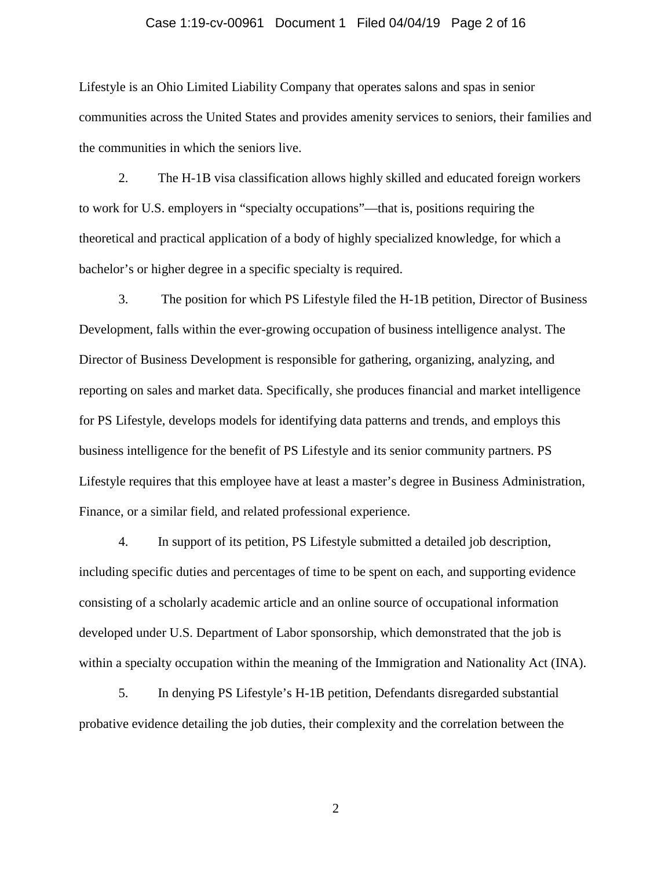### Case 1:19-cv-00961 Document 1 Filed 04/04/19 Page 2 of 16

Lifestyle is an Ohio Limited Liability Company that operates salons and spas in senior communities across the United States and provides amenity services to seniors, their families and the communities in which the seniors live.

2. The H-1B visa classification allows highly skilled and educated foreign workers to work for U.S. employers in "specialty occupations"—that is, positions requiring the theoretical and practical application of a body of highly specialized knowledge, for which a bachelor's or higher degree in a specific specialty is required.

3. The position for which PS Lifestyle filed the H-1B petition, Director of Business Development, falls within the ever-growing occupation of business intelligence analyst. The Director of Business Development is responsible for gathering, organizing, analyzing, and reporting on sales and market data. Specifically, she produces financial and market intelligence for PS Lifestyle, develops models for identifying data patterns and trends, and employs this business intelligence for the benefit of PS Lifestyle and its senior community partners. PS Lifestyle requires that this employee have at least a master's degree in Business Administration, Finance, or a similar field, and related professional experience.

4. In support of its petition, PS Lifestyle submitted a detailed job description, including specific duties and percentages of time to be spent on each, and supporting evidence consisting of a scholarly academic article and an online source of occupational information developed under U.S. Department of Labor sponsorship, which demonstrated that the job is within a specialty occupation within the meaning of the Immigration and Nationality Act (INA).

5. In denying PS Lifestyle's H-1B petition, Defendants disregarded substantial probative evidence detailing the job duties, their complexity and the correlation between the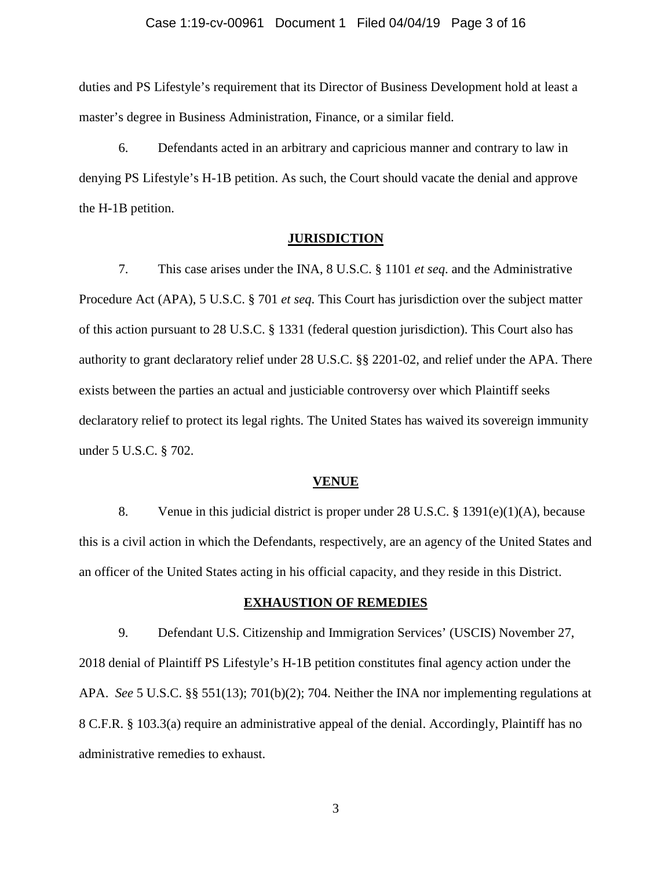## Case 1:19-cv-00961 Document 1 Filed 04/04/19 Page 3 of 16

duties and PS Lifestyle's requirement that its Director of Business Development hold at least a master's degree in Business Administration, Finance, or a similar field.

6. Defendants acted in an arbitrary and capricious manner and contrary to law in denying PS Lifestyle's H-1B petition. As such, the Court should vacate the denial and approve the H-1B petition.

## **JURISDICTION**

7. This case arises under the INA, 8 U.S.C. § 1101 *et seq*. and the Administrative Procedure Act (APA), 5 U.S.C. § 701 *et seq*. This Court has jurisdiction over the subject matter of this action pursuant to 28 U.S.C. § 1331 (federal question jurisdiction). This Court also has authority to grant declaratory relief under 28 U.S.C. §§ 2201-02, and relief under the APA. There exists between the parties an actual and justiciable controversy over which Plaintiff seeks declaratory relief to protect its legal rights. The United States has waived its sovereign immunity under 5 U.S.C. § 702.

### **VENUE**

8. Venue in this judicial district is proper under 28 U.S.C. § 1391(e)(1)(A), because this is a civil action in which the Defendants, respectively, are an agency of the United States and an officer of the United States acting in his official capacity, and they reside in this District.

### **EXHAUSTION OF REMEDIES**

9. Defendant U.S. Citizenship and Immigration Services' (USCIS) November 27, 2018 denial of Plaintiff PS Lifestyle's H-1B petition constitutes final agency action under the APA. *See* 5 U.S.C. §§ 551(13); 701(b)(2); 704. Neither the INA nor implementing regulations at 8 C.F.R. § 103.3(a) require an administrative appeal of the denial. Accordingly, Plaintiff has no administrative remedies to exhaust.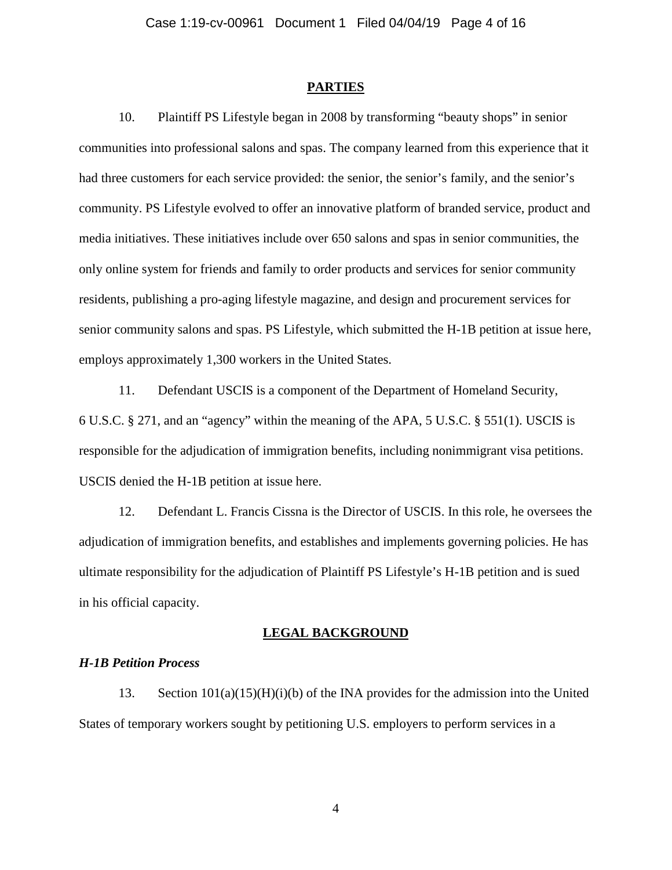#### **PARTIES**

10. Plaintiff PS Lifestyle began in 2008 by transforming "beauty shops" in senior communities into professional salons and spas. The company learned from this experience that it had three customers for each service provided: the senior, the senior's family, and the senior's community. PS Lifestyle evolved to offer an innovative platform of branded service, product and media initiatives. These initiatives include over 650 salons and spas in senior communities, the only online system for friends and family to order products and services for senior community residents, publishing a pro-aging lifestyle magazine, and design and procurement services for senior community salons and spas. PS Lifestyle, which submitted the H-1B petition at issue here, employs approximately 1,300 workers in the United States.

11. Defendant USCIS is a component of the Department of Homeland Security, 6 U.S.C. § 271, and an "agency" within the meaning of the APA, 5 U.S.C. § 551(1). USCIS is responsible for the adjudication of immigration benefits, including nonimmigrant visa petitions. USCIS denied the H-1B petition at issue here.

12. Defendant L. Francis Cissna is the Director of USCIS. In this role, he oversees the adjudication of immigration benefits, and establishes and implements governing policies. He has ultimate responsibility for the adjudication of Plaintiff PS Lifestyle's H-1B petition and is sued in his official capacity.

### **LEGAL BACKGROUND**

#### *H-1B Petition Process*

13. Section  $101(a)(15)(H)(i)$  of the INA provides for the admission into the United States of temporary workers sought by petitioning U.S. employers to perform services in a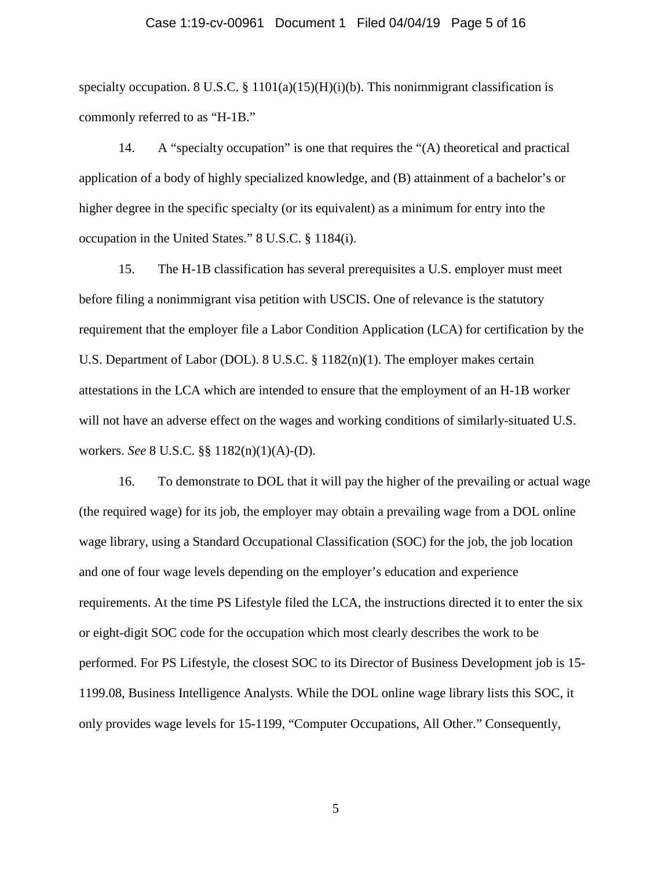### Case 1:19-cv-00961 Document 1 Filed 04/04/19 Page 5 of 16

specialty occupation. 8 U.S.C.  $\S$  1101(a)(15)(H)(i)(b). This nonimmigrant classification is commonly referred to as "H-1B."

14. A "specialty occupation" is one that requires the "(A) theoretical and practical application of a body of highly specialized knowledge, and (B) attainment of a bachelor's or higher degree in the specific specialty (or its equivalent) as a minimum for entry into the occupation in the United States." 8 U.S.C. § 1184(i).

15. The H-1B classification has several prerequisites a U.S. employer must meet before filing a nonimmigrant visa petition with USCIS. One of relevance is the statutory requirement that the employer file a Labor Condition Application (LCA) for certification by the U.S. Department of Labor (DOL). 8 U.S.C. § 1182(n)(1). The employer makes certain attestations in the LCA which are intended to ensure that the employment of an H-1B worker will not have an adverse effect on the wages and working conditions of similarly-situated U.S. workers. *See* 8 U.S.C. §§ 1182(n)(1)(A)-(D).

16. To demonstrate to DOL that it will pay the higher of the prevailing or actual wage (the required wage) for its job, the employer may obtain a prevailing wage from a DOL online wage library, using a Standard Occupational Classification (SOC) for the job, the job location and one of four wage levels depending on the employer's education and experience requirements. At the time PS Lifestyle filed the LCA, the instructions directed it to enter the six or eight-digit SOC code for the occupation which most clearly describes the work to be performed. For PS Lifestyle, the closest SOC to its Director of Business Development job is 15- 1199.08, Business Intelligence Analysts. While the DOL online wage library lists this SOC, it only provides wage levels for 15-1199, "Computer Occupations, All Other." Consequently,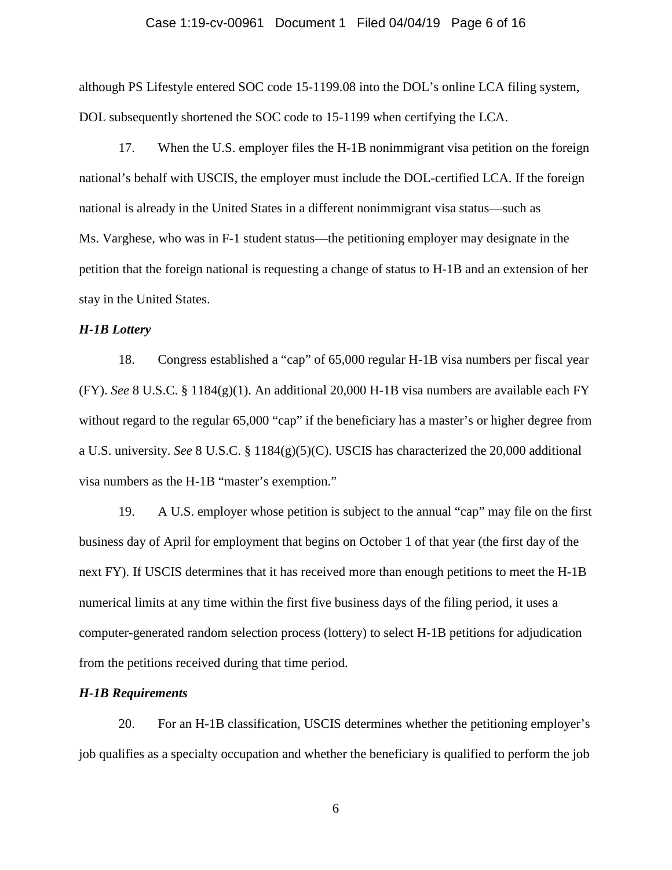### Case 1:19-cv-00961 Document 1 Filed 04/04/19 Page 6 of 16

although PS Lifestyle entered SOC code 15-1199.08 into the DOL's online LCA filing system, DOL subsequently shortened the SOC code to 15-1199 when certifying the LCA.

17. When the U.S. employer files the H-1B nonimmigrant visa petition on the foreign national's behalf with USCIS, the employer must include the DOL-certified LCA. If the foreign national is already in the United States in a different nonimmigrant visa status—such as Ms. Varghese, who was in F-1 student status—the petitioning employer may designate in the petition that the foreign national is requesting a change of status to H-1B and an extension of her stay in the United States.

## *H-1B Lottery*

18. Congress established a "cap" of 65,000 regular H-1B visa numbers per fiscal year (FY). *See* 8 U.S.C. § 1184(g)(1). An additional 20,000 H-1B visa numbers are available each FY without regard to the regular 65,000 "cap" if the beneficiary has a master's or higher degree from a U.S. university. *See* 8 U.S.C. § 1184(g)(5)(C). USCIS has characterized the 20,000 additional visa numbers as the H-1B "master's exemption."

19. A U.S. employer whose petition is subject to the annual "cap" may file on the first business day of April for employment that begins on October 1 of that year (the first day of the next FY). If USCIS determines that it has received more than enough petitions to meet the H-1B numerical limits at any time within the first five business days of the filing period, it uses a computer-generated random selection process (lottery) to select H-1B petitions for adjudication from the petitions received during that time period.

# *H-1B Requirements*

20. For an H-1B classification, USCIS determines whether the petitioning employer's job qualifies as a specialty occupation and whether the beneficiary is qualified to perform the job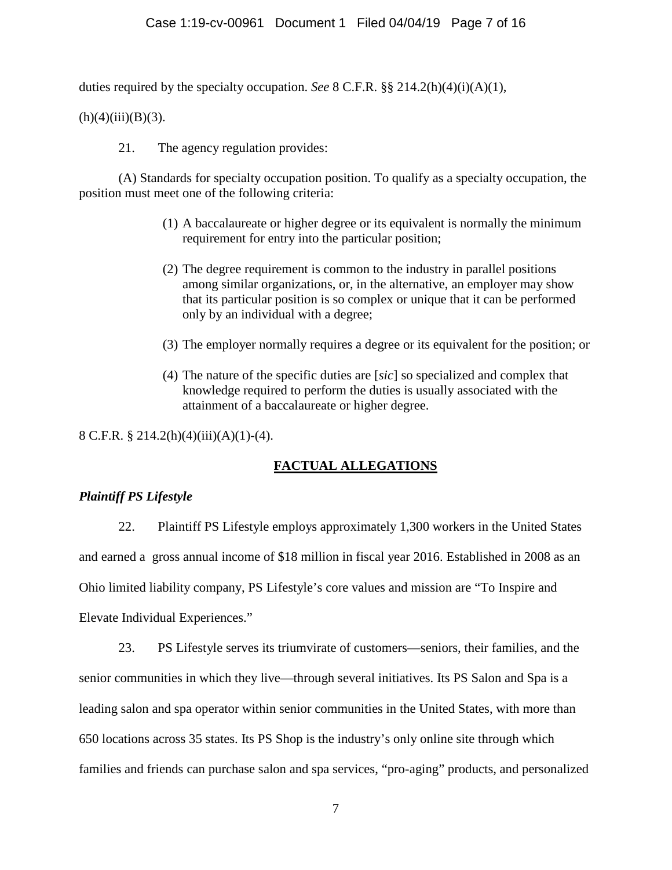duties required by the specialty occupation. *See* 8 C.F.R. §§ 214.2(h)(4)(i)(A)(1),

 $(h)(4)(iii)(B)(3).$ 

21. The agency regulation provides:

(A) Standards for specialty occupation position. To qualify as a specialty occupation, the position must meet one of the following criteria:

- (1) A baccalaureate or higher degree or its equivalent is normally the minimum requirement for entry into the particular position;
- (2) The degree requirement is common to the industry in parallel positions among similar organizations, or, in the alternative, an employer may show that its particular position is so complex or unique that it can be performed only by an individual with a degree;
- (3) The employer normally requires a degree or its equivalent for the position; or
- (4) The nature of the specific duties are [*sic*] so specialized and complex that knowledge required to perform the duties is usually associated with the attainment of a baccalaureate or higher degree.

8 C.F.R. § 214.2(h)(4)(iii)(A)(1)-(4).

# **FACTUAL ALLEGATIONS**

# *Plaintiff PS Lifestyle*

22. Plaintiff PS Lifestyle employs approximately 1,300 workers in the United States and earned a gross annual income of \$18 million in fiscal year 2016. Established in 2008 as an Ohio limited liability company, PS Lifestyle's core values and mission are "To Inspire and Elevate Individual Experiences."

23. PS Lifestyle serves its triumvirate of customers—seniors, their families, and the senior communities in which they live—through several initiatives. Its PS Salon and Spa is a leading salon and spa operator within senior communities in the United States, with more than 650 locations across 35 states. Its PS Shop is the industry's only online site through which families and friends can purchase salon and spa services, "pro-aging" products, and personalized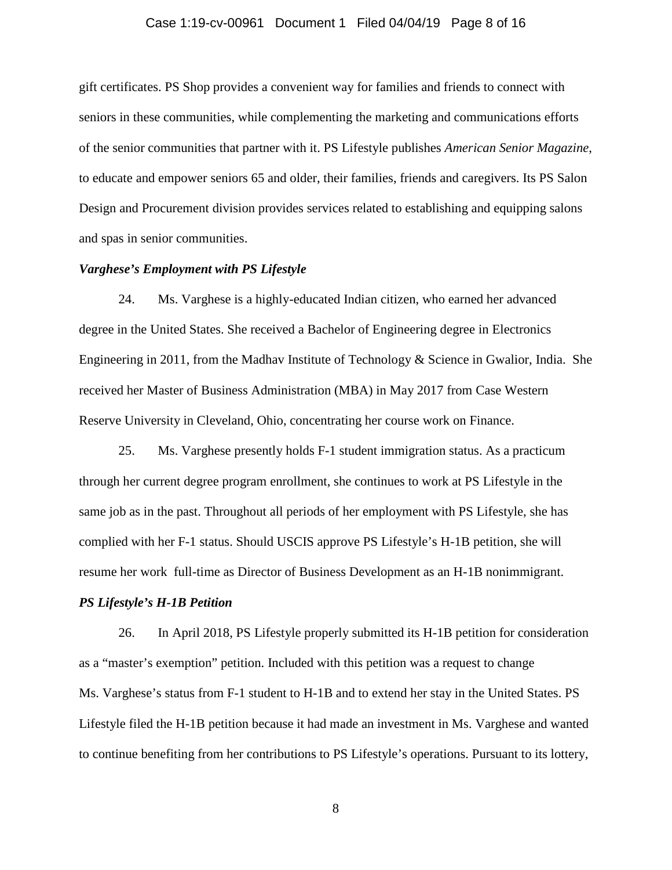### Case 1:19-cv-00961 Document 1 Filed 04/04/19 Page 8 of 16

gift certificates. PS Shop provides a convenient way for families and friends to connect with seniors in these communities, while complementing the marketing and communications efforts of the senior communities that partner with it. PS Lifestyle publishes *American Senior Magazine*, to educate and empower seniors 65 and older, their families, friends and caregivers. Its PS Salon Design and Procurement division provides services related to establishing and equipping salons and spas in senior communities.

## *Varghese's Employment with PS Lifestyle*

24. Ms. Varghese is a highly-educated Indian citizen, who earned her advanced degree in the United States. She received a Bachelor of Engineering degree in Electronics Engineering in 2011, from the Madhav Institute of Technology & Science in Gwalior, India. She received her Master of Business Administration (MBA) in May 2017 from Case Western Reserve University in Cleveland, Ohio, concentrating her course work on Finance.

25. Ms. Varghese presently holds F-1 student immigration status. As a practicum through her current degree program enrollment, she continues to work at PS Lifestyle in the same job as in the past. Throughout all periods of her employment with PS Lifestyle, she has complied with her F-1 status. Should USCIS approve PS Lifestyle's H-1B petition, she will resume her work full-time as Director of Business Development as an H-1B nonimmigrant.

### *PS Lifestyle's H-1B Petition*

26. In April 2018, PS Lifestyle properly submitted its H-1B petition for consideration as a "master's exemption" petition. Included with this petition was a request to change Ms. Varghese's status from F-1 student to H-1B and to extend her stay in the United States. PS Lifestyle filed the H-1B petition because it had made an investment in Ms. Varghese and wanted to continue benefiting from her contributions to PS Lifestyle's operations. Pursuant to its lottery,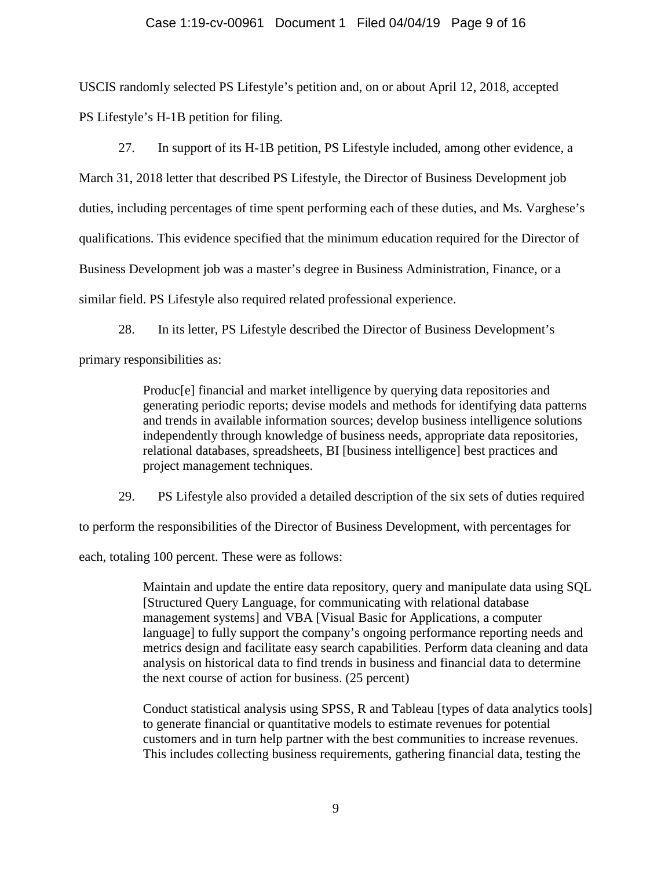## Case 1:19-cv-00961 Document 1 Filed 04/04/19 Page 9 of 16

USCIS randomly selected PS Lifestyle's petition and, on or about April 12, 2018, accepted PS Lifestyle's H-1B petition for filing.

27. In support of its H-1B petition, PS Lifestyle included, among other evidence, a March 31, 2018 letter that described PS Lifestyle, the Director of Business Development job duties, including percentages of time spent performing each of these duties, and Ms. Varghese's qualifications. This evidence specified that the minimum education required for the Director of Business Development job was a master's degree in Business Administration, Finance, or a similar field. PS Lifestyle also required related professional experience.

28. In its letter, PS Lifestyle described the Director of Business Development's

primary responsibilities as:

Produc[e] financial and market intelligence by querying data repositories and generating periodic reports; devise models and methods for identifying data patterns and trends in available information sources; develop business intelligence solutions independently through knowledge of business needs, appropriate data repositories, relational databases, spreadsheets, BI [business intelligence] best practices and project management techniques.

29. PS Lifestyle also provided a detailed description of the six sets of duties required

to perform the responsibilities of the Director of Business Development, with percentages for

each, totaling 100 percent. These were as follows:

Maintain and update the entire data repository, query and manipulate data using SQL [Structured Query Language, for communicating with relational database management systems] and VBA [Visual Basic for Applications, a computer language] to fully support the company's ongoing performance reporting needs and metrics design and facilitate easy search capabilities. Perform data cleaning and data analysis on historical data to find trends in business and financial data to determine the next course of action for business. (25 percent)

Conduct statistical analysis using SPSS, R and Tableau [types of data analytics tools] to generate financial or quantitative models to estimate revenues for potential customers and in turn help partner with the best communities to increase revenues. This includes collecting business requirements, gathering financial data, testing the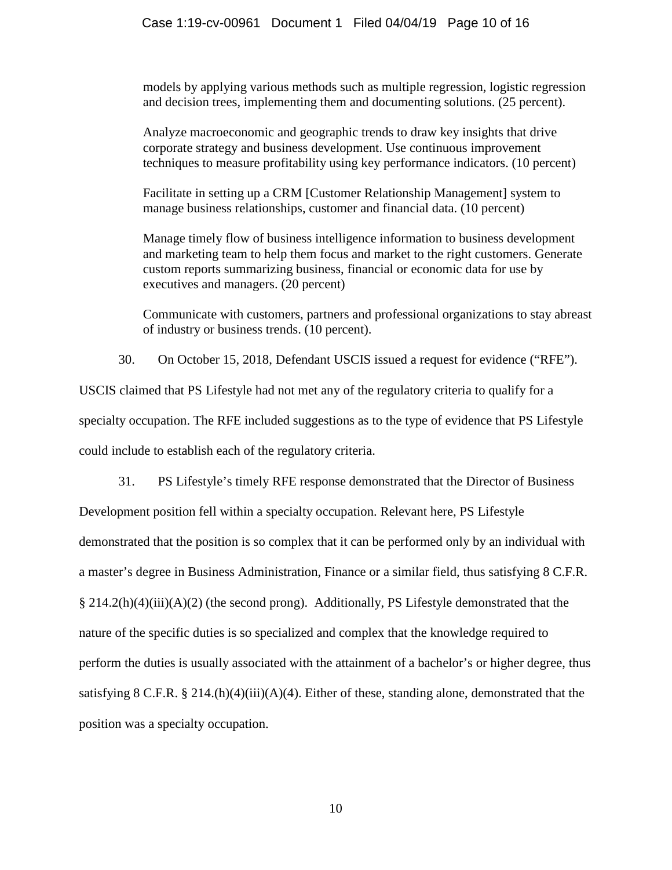# Case 1:19-cv-00961 Document 1 Filed 04/04/19 Page 10 of 16

models by applying various methods such as multiple regression, logistic regression and decision trees, implementing them and documenting solutions. (25 percent).

Analyze macroeconomic and geographic trends to draw key insights that drive corporate strategy and business development. Use continuous improvement techniques to measure profitability using key performance indicators. (10 percent)

Facilitate in setting up a CRM [Customer Relationship Management] system to manage business relationships, customer and financial data. (10 percent)

Manage timely flow of business intelligence information to business development and marketing team to help them focus and market to the right customers. Generate custom reports summarizing business, financial or economic data for use by executives and managers. (20 percent)

Communicate with customers, partners and professional organizations to stay abreast of industry or business trends. (10 percent).

30. On October 15, 2018, Defendant USCIS issued a request for evidence ("RFE").

USCIS claimed that PS Lifestyle had not met any of the regulatory criteria to qualify for a specialty occupation. The RFE included suggestions as to the type of evidence that PS Lifestyle could include to establish each of the regulatory criteria.

31. PS Lifestyle's timely RFE response demonstrated that the Director of Business Development position fell within a specialty occupation. Relevant here, PS Lifestyle demonstrated that the position is so complex that it can be performed only by an individual with a master's degree in Business Administration, Finance or a similar field, thus satisfying 8 C.F.R. § 214.2(h)(4)(iii)(A)(2) (the second prong). Additionally, PS Lifestyle demonstrated that the nature of the specific duties is so specialized and complex that the knowledge required to perform the duties is usually associated with the attainment of a bachelor's or higher degree, thus satisfying 8 C.F.R. § 214. $(h)(4)(ii)(A)(4)$ . Either of these, standing alone, demonstrated that the position was a specialty occupation.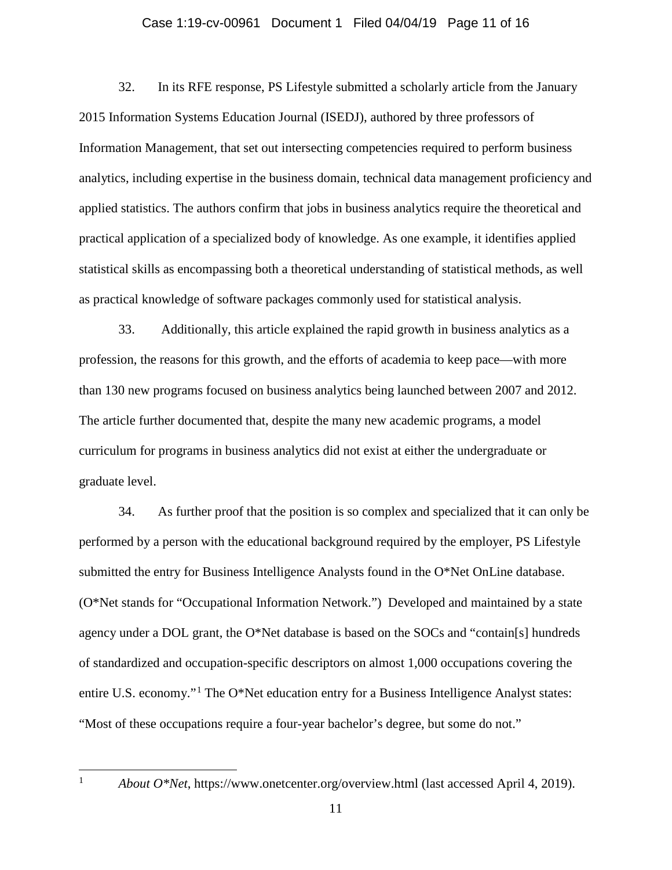### Case 1:19-cv-00961 Document 1 Filed 04/04/19 Page 11 of 16

32. In its RFE response, PS Lifestyle submitted a scholarly article from the January 2015 Information Systems Education Journal (ISEDJ), authored by three professors of Information Management, that set out intersecting competencies required to perform business analytics, including expertise in the business domain, technical data management proficiency and applied statistics. The authors confirm that jobs in business analytics require the theoretical and practical application of a specialized body of knowledge. As one example, it identifies applied statistical skills as encompassing both a theoretical understanding of statistical methods, as well as practical knowledge of software packages commonly used for statistical analysis.

33. Additionally, this article explained the rapid growth in business analytics as a profession, the reasons for this growth, and the efforts of academia to keep pace—with more than 130 new programs focused on business analytics being launched between 2007 and 2012. The article further documented that, despite the many new academic programs, a model curriculum for programs in business analytics did not exist at either the undergraduate or graduate level.

34. As further proof that the position is so complex and specialized that it can only be performed by a person with the educational background required by the employer, PS Lifestyle submitted the entry for Business Intelligence Analysts found in the O\*Net OnLine database. (O\*Net stands for "Occupational Information Network.") Developed and maintained by a state agency under a DOL grant, the O\*Net database is based on the SOCs and "contain[s] hundreds of standardized and occupation-specific descriptors on almost 1,000 occupations covering the entire U.S. economy."<sup>[1](#page-10-0)</sup> The O\*Net education entry for a Business Intelligence Analyst states: "Most of these occupations require a four-year bachelor's degree, but some do not."

<span id="page-10-0"></span> $\mathbf{1}$ 

<sup>1</sup> *About O\*Net*, https://www.onetcenter.org/overview.html (last accessed April 4, 2019).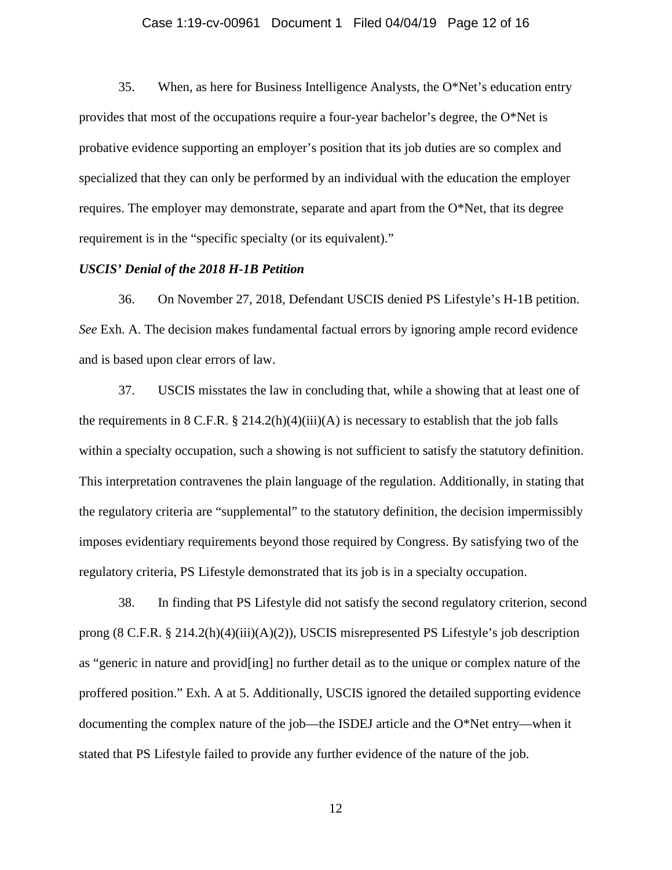## Case 1:19-cv-00961 Document 1 Filed 04/04/19 Page 12 of 16

35. When, as here for Business Intelligence Analysts, the O\*Net's education entry provides that most of the occupations require a four-year bachelor's degree, the O\*Net is probative evidence supporting an employer's position that its job duties are so complex and specialized that they can only be performed by an individual with the education the employer requires. The employer may demonstrate, separate and apart from the O\*Net, that its degree requirement is in the "specific specialty (or its equivalent)."

## *USCIS' Denial of the 2018 H-1B Petition*

36. On November 27, 2018, Defendant USCIS denied PS Lifestyle's H-1B petition. *See* Exh. A. The decision makes fundamental factual errors by ignoring ample record evidence and is based upon clear errors of law.

37. USCIS misstates the law in concluding that, while a showing that at least one of the requirements in  $8$  C.F.R.  $\S$  214.2(h)(4)(iii)(A) is necessary to establish that the job falls within a specialty occupation, such a showing is not sufficient to satisfy the statutory definition. This interpretation contravenes the plain language of the regulation. Additionally, in stating that the regulatory criteria are "supplemental" to the statutory definition, the decision impermissibly imposes evidentiary requirements beyond those required by Congress. By satisfying two of the regulatory criteria, PS Lifestyle demonstrated that its job is in a specialty occupation.

38. In finding that PS Lifestyle did not satisfy the second regulatory criterion, second prong (8 C.F.R. § 214.2(h)(4)(iii)(A)(2)), USCIS misrepresented PS Lifestyle's job description as "generic in nature and provid[ing] no further detail as to the unique or complex nature of the proffered position." Exh. A at 5. Additionally, USCIS ignored the detailed supporting evidence documenting the complex nature of the job—the ISDEJ article and the O\*Net entry—when it stated that PS Lifestyle failed to provide any further evidence of the nature of the job.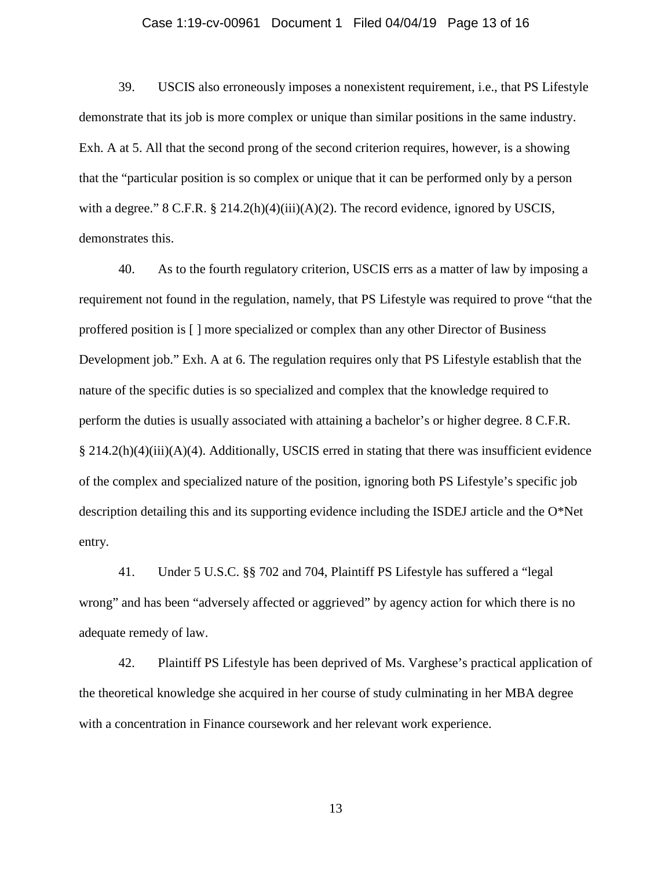### Case 1:19-cv-00961 Document 1 Filed 04/04/19 Page 13 of 16

39. USCIS also erroneously imposes a nonexistent requirement, i.e., that PS Lifestyle demonstrate that its job is more complex or unique than similar positions in the same industry. Exh. A at 5. All that the second prong of the second criterion requires, however, is a showing that the "particular position is so complex or unique that it can be performed only by a person with a degree."  $8 \text{ C.F.R.} \$   $214.2(h)(4)(iii)(A)(2)$ . The record evidence, ignored by USCIS, demonstrates this.

40. As to the fourth regulatory criterion, USCIS errs as a matter of law by imposing a requirement not found in the regulation, namely, that PS Lifestyle was required to prove "that the proffered position is [ ] more specialized or complex than any other Director of Business Development job." Exh. A at 6. The regulation requires only that PS Lifestyle establish that the nature of the specific duties is so specialized and complex that the knowledge required to perform the duties is usually associated with attaining a bachelor's or higher degree. 8 C.F.R. § 214.2(h)(4)(iii)(A)(4). Additionally, USCIS erred in stating that there was insufficient evidence of the complex and specialized nature of the position, ignoring both PS Lifestyle's specific job description detailing this and its supporting evidence including the ISDEJ article and the O\*Net entry.

41. Under 5 U.S.C. §§ 702 and 704, Plaintiff PS Lifestyle has suffered a "legal wrong" and has been "adversely affected or aggrieved" by agency action for which there is no adequate remedy of law.

42. Plaintiff PS Lifestyle has been deprived of Ms. Varghese's practical application of the theoretical knowledge she acquired in her course of study culminating in her MBA degree with a concentration in Finance coursework and her relevant work experience.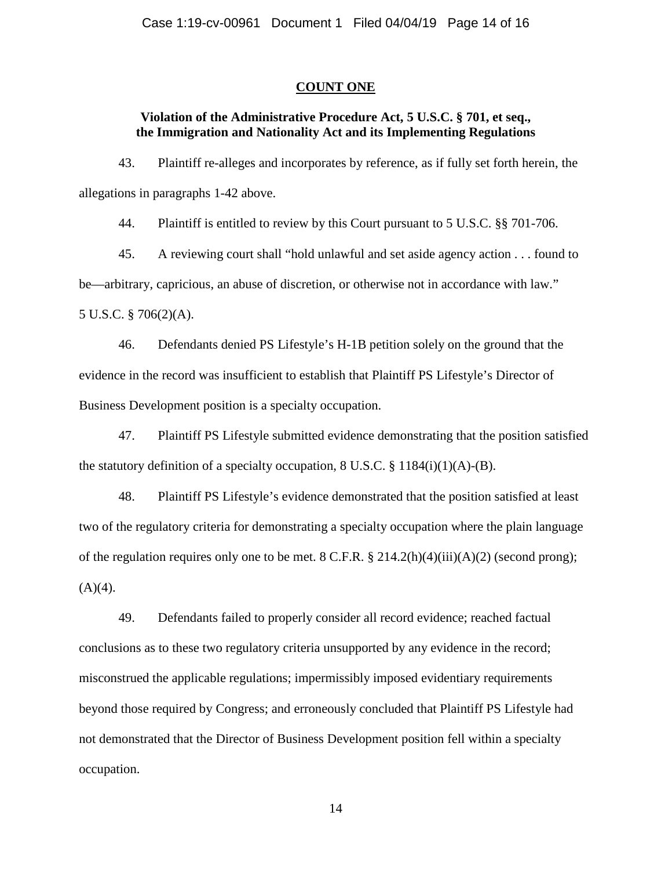### **COUNT ONE**

# **Violation of the Administrative Procedure Act, 5 U.S.C. § 701, et seq., the Immigration and Nationality Act and its Implementing Regulations**

43. Plaintiff re-alleges and incorporates by reference, as if fully set forth herein, the allegations in paragraphs 1-42 above.

44. Plaintiff is entitled to review by this Court pursuant to 5 U.S.C. §§ 701-706.

45. A reviewing court shall "hold unlawful and set aside agency action . . . found to be—arbitrary, capricious, an abuse of discretion, or otherwise not in accordance with law." 5 U.S.C. § 706(2)(A).

46. Defendants denied PS Lifestyle's H-1B petition solely on the ground that the evidence in the record was insufficient to establish that Plaintiff PS Lifestyle's Director of Business Development position is a specialty occupation.

47. Plaintiff PS Lifestyle submitted evidence demonstrating that the position satisfied the statutory definition of a specialty occupation, 8 U.S.C.  $\S$  1184(i)(1)(A)-(B).

48. Plaintiff PS Lifestyle's evidence demonstrated that the position satisfied at least two of the regulatory criteria for demonstrating a specialty occupation where the plain language of the regulation requires only one to be met. 8 C.F.R. § 214.2(h)(4)(iii)(A)(2) (second prong);  $(A)(4)$ .

49. Defendants failed to properly consider all record evidence; reached factual conclusions as to these two regulatory criteria unsupported by any evidence in the record; misconstrued the applicable regulations; impermissibly imposed evidentiary requirements beyond those required by Congress; and erroneously concluded that Plaintiff PS Lifestyle had not demonstrated that the Director of Business Development position fell within a specialty occupation.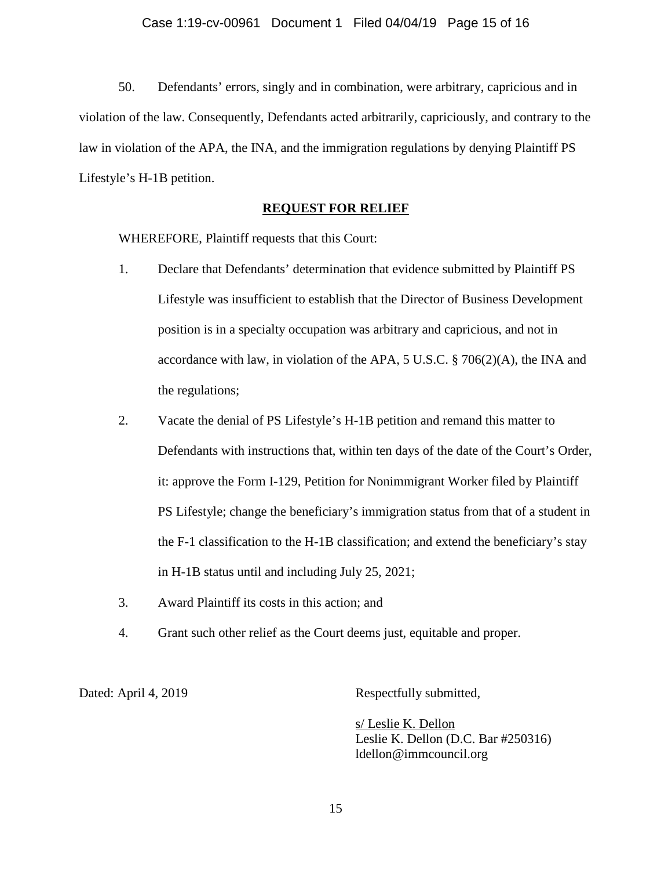50. Defendants' errors, singly and in combination, were arbitrary, capricious and in violation of the law. Consequently, Defendants acted arbitrarily, capriciously, and contrary to the law in violation of the APA, the INA, and the immigration regulations by denying Plaintiff PS Lifestyle's H-1B petition.

# **REQUEST FOR RELIEF**

WHEREFORE, Plaintiff requests that this Court:

- 1. Declare that Defendants' determination that evidence submitted by Plaintiff PS Lifestyle was insufficient to establish that the Director of Business Development position is in a specialty occupation was arbitrary and capricious, and not in accordance with law, in violation of the APA, 5 U.S.C. § 706(2)(A), the INA and the regulations;
- 2. Vacate the denial of PS Lifestyle's H-1B petition and remand this matter to Defendants with instructions that, within ten days of the date of the Court's Order, it: approve the Form I-129, Petition for Nonimmigrant Worker filed by Plaintiff PS Lifestyle; change the beneficiary's immigration status from that of a student in the F-1 classification to the H-1B classification; and extend the beneficiary's stay in H-1B status until and including July 25, 2021;
- 3. Award Plaintiff its costs in this action; and
- 4. Grant such other relief as the Court deems just, equitable and proper.

Dated: April 4, 2019 Respectfully submitted,

s/ Leslie K. Dellon Leslie K. Dellon (D.C. Bar #250316) ldellon@immcouncil.org